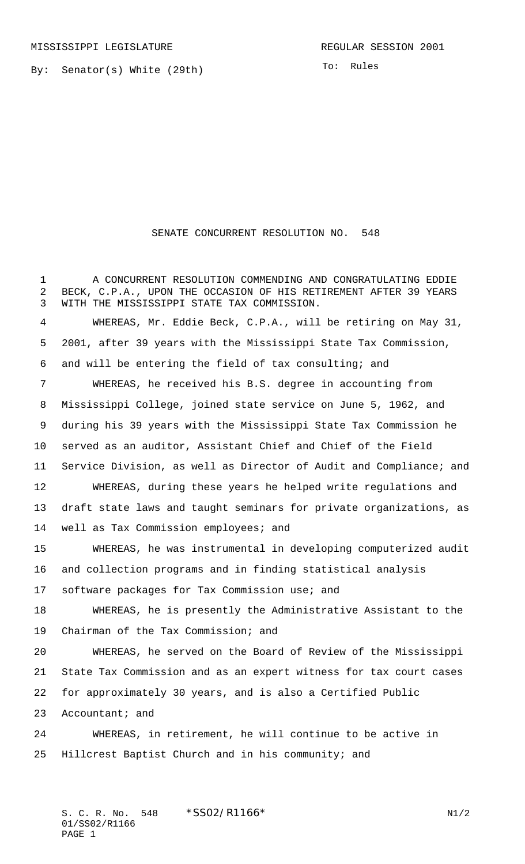By: Senator(s) White (29th)

To: Rules

## SENATE CONCURRENT RESOLUTION NO. 548

 A CONCURRENT RESOLUTION COMMENDING AND CONGRATULATING EDDIE BECK, C.P.A., UPON THE OCCASION OF HIS RETIREMENT AFTER 39 YEARS WITH THE MISSISSIPPI STATE TAX COMMISSION. WHEREAS, Mr. Eddie Beck, C.P.A., will be retiring on May 31, 2001, after 39 years with the Mississippi State Tax Commission, and will be entering the field of tax consulting; and WHEREAS, he received his B.S. degree in accounting from Mississippi College, joined state service on June 5, 1962, and during his 39 years with the Mississippi State Tax Commission he served as an auditor, Assistant Chief and Chief of the Field Service Division, as well as Director of Audit and Compliance; and WHEREAS, during these years he helped write regulations and draft state laws and taught seminars for private organizations, as well as Tax Commission employees; and WHEREAS, he was instrumental in developing computerized audit and collection programs and in finding statistical analysis software packages for Tax Commission use; and WHEREAS, he is presently the Administrative Assistant to the Chairman of the Tax Commission; and WHEREAS, he served on the Board of Review of the Mississippi State Tax Commission and as an expert witness for tax court cases for approximately 30 years, and is also a Certified Public 23 Accountant; and WHEREAS, in retirement, he will continue to be active in Hillcrest Baptist Church and in his community; and